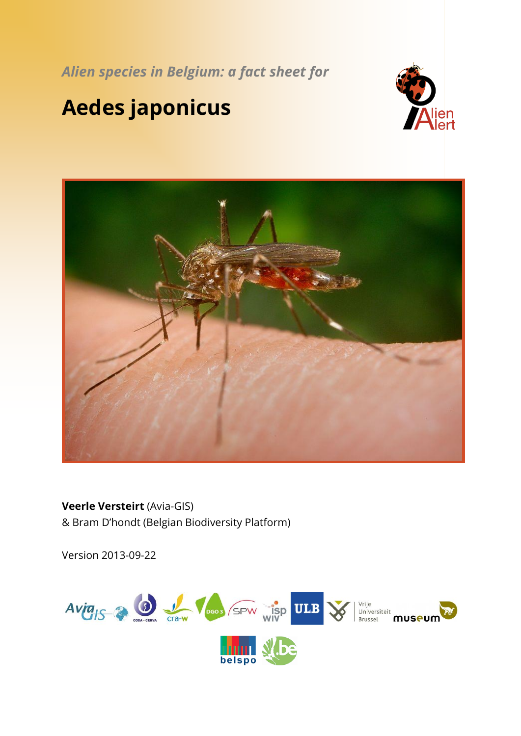*Alien species in Belgium: a fact sheet for*

# **Aedes japonicus**





**Veerle Versteirt** (Avia-GIS) & Bram D'hondt (Belgian Biodiversity Platform)

Version 2013-09-22

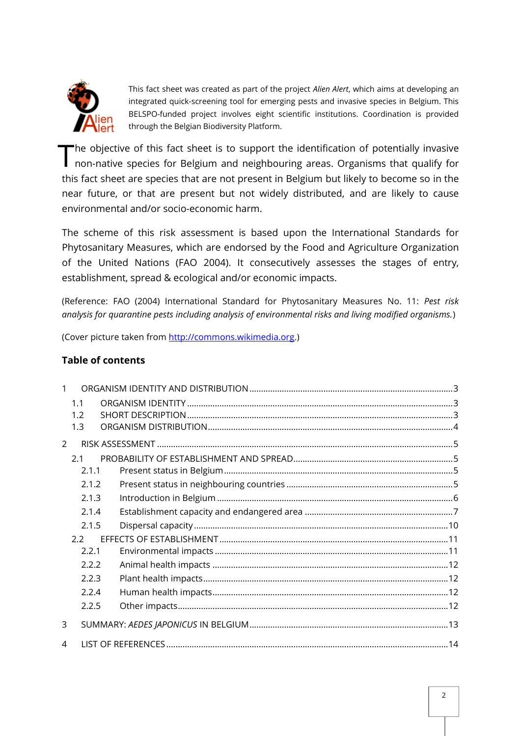

This fact sheet was created as part of the project *Alien Alert*, which aims at developing an integrated quick-screening tool for emerging pests and invasive species in Belgium. This BELSPO-funded project involves eight scientific institutions. Coordination is provided through the Belgian Biodiversity Platform.

he objective of this fact sheet is to support the identification of potentially invasive The objective of this fact sheet is to support the identification of potentially invasive<br>non-native species for Belgium and neighbouring areas. Organisms that qualify for this fact sheet are species that are not present in Belgium but likely to become so in the near future, or that are present but not widely distributed, and are likely to cause environmental and/or socio-economic harm.

The scheme of this risk assessment is based upon the International Standards for Phytosanitary Measures, which are endorsed by the Food and Agriculture Organization of the United Nations (FAO 2004). It consecutively assesses the stages of entry, establishment, spread & ecological and/or economic impacts.

(Reference: FAO (2004) International Standard for Phytosanitary Measures No. 11: *Pest risk analysis for quarantine pests including analysis of environmental risks and living modified organisms.*)

(Cover picture taken from [http://commons.wikimedia.org.](http://commons.wikimedia.org/))

## **Table of contents**

|               | 1.1   |  |  |  |
|---------------|-------|--|--|--|
|               | 1.2   |  |  |  |
|               | 1.3   |  |  |  |
| $\mathcal{P}$ |       |  |  |  |
|               | 2.1   |  |  |  |
|               | 2.1.1 |  |  |  |
|               | 2.1.2 |  |  |  |
|               | 2.1.3 |  |  |  |
|               | 2.1.4 |  |  |  |
|               | 2.1.5 |  |  |  |
|               | 2.2   |  |  |  |
|               | 2.2.1 |  |  |  |
|               | 2.2.2 |  |  |  |
|               | 2.2.3 |  |  |  |
|               | 2.2.4 |  |  |  |
|               | 2.2.5 |  |  |  |
| 3             |       |  |  |  |
| 4             |       |  |  |  |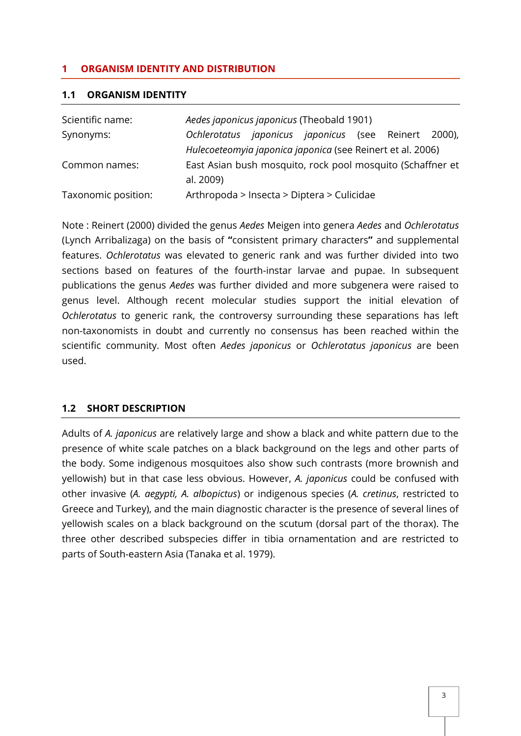## <span id="page-2-0"></span>**1 ORGANISM IDENTITY AND DISTRIBUTION**

#### <span id="page-2-1"></span>**1.1 ORGANISM IDENTITY**

| Scientific name:    | Aedes japonicus japonicus (Theobald 1901)                      |  |  |  |
|---------------------|----------------------------------------------------------------|--|--|--|
| Synonyms:           | <i>japonicus japonicus</i> (see Reinert 2000),<br>Ochlerotatus |  |  |  |
|                     | Hulecoeteomyia japonica japonica (see Reinert et al. 2006)     |  |  |  |
| Common names:       | East Asian bush mosquito, rock pool mosquito (Schaffner et     |  |  |  |
|                     | al. 2009)                                                      |  |  |  |
| Taxonomic position: | Arthropoda > Insecta > Diptera > Culicidae                     |  |  |  |

Note : Reinert (2000) divided the genus *Aedes* Meigen into genera *Aedes* and *Ochlerotatus* (Lynch Arribalizaga) on the basis of **"**consistent primary characters**"** and supplemental features. *Ochlerotatus* was elevated to generic rank and was further divided into two sections based on features of the fourth-instar larvae and pupae. In subsequent publications the genus *Aedes* was further divided and more subgenera were raised to genus level. Although recent molecular studies support the initial elevation of *Ochlerotatus* to generic rank, the controversy surrounding these separations has left non-taxonomists in doubt and currently no consensus has been reached within the scientific community. Most often *Aedes japonicus* or *Ochlerotatus japonicus* are been used.

# <span id="page-2-2"></span>**1.2 SHORT DESCRIPTION**

Adults of *A. japonicus* are relatively large and show a black and white pattern due to the presence of white scale patches on a black background on the legs and other parts of the body. Some indigenous mosquitoes also show such contrasts (more brownish and yellowish) but in that case less obvious. However, *A. japonicus* could be confused with other invasive (*A. aegypti, A. albopictus*) or indigenous species (*A. cretinus*, restricted to Greece and Turkey), and the main diagnostic character is the presence of several lines of yellowish scales on a black background on the scutum (dorsal part of the thorax). The three other described subspecies differ in tibia ornamentation and are restricted to parts of South-eastern Asia (Tanaka et al. 1979).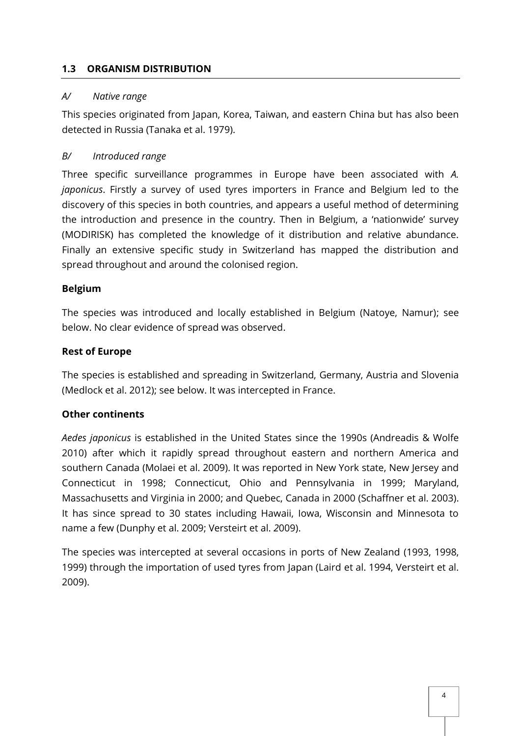## <span id="page-3-0"></span>**1.3 ORGANISM DISTRIBUTION**

#### *A/ Native range*

This species originated from Japan, Korea, Taiwan, and eastern China but has also been detected in Russia (Tanaka et al. 1979).

# *B/ Introduced range*

Three specific surveillance programmes in Europe have been associated with *A. japonicus*. Firstly a survey of used tyres importers in France and Belgium led to the discovery of this species in both countries, and appears a useful method of determining the introduction and presence in the country. Then in Belgium, a 'nationwide' survey (MODIRISK) has completed the knowledge of it distribution and relative abundance. Finally an extensive specific study in Switzerland has mapped the distribution and spread throughout and around the colonised region.

## **Belgium**

The species was introduced and locally established in Belgium (Natoye, Namur); see below. No clear evidence of spread was observed.

## **Rest of Europe**

The species is established and spreading in Switzerland, Germany, Austria and Slovenia (Medlock et al. 2012); see below. It was intercepted in France.

# **Other continents**

*Aedes japonicus* is established in the United States since the 1990s (Andreadis & Wolfe 2010) after which it rapidly spread throughout eastern and northern America and southern Canada (Molaei et al. 2009). It was reported in New York state, New Jersey and Connecticut in 1998; Connecticut, Ohio and Pennsylvania in 1999; Maryland, Massachusetts and Virginia in 2000; and Quebec, Canada in 2000 (Schaffner et al. 2003). It has since spread to 30 states including Hawaii, Iowa, Wisconsin and Minnesota to name a few (Dunphy et al. 2009; Versteirt et al. *2*009).

The species was intercepted at several occasions in ports of New Zealand (1993, 1998, 1999) through the importation of used tyres from Japan (Laird et al. 1994, Versteirt et al. 2009).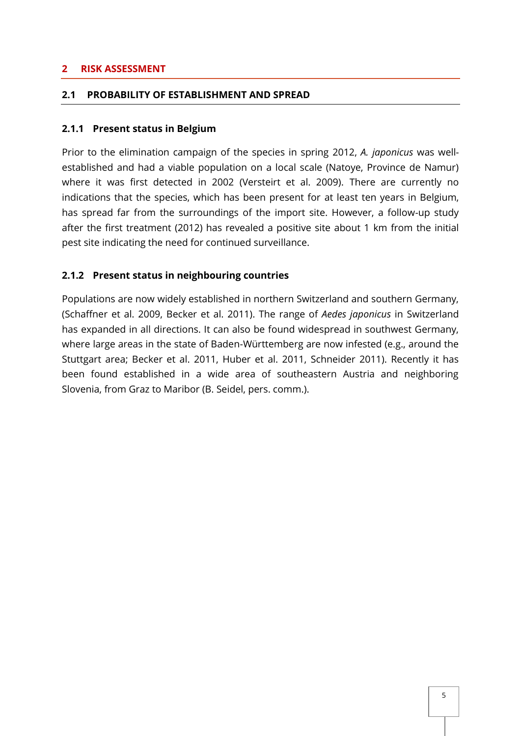#### <span id="page-4-0"></span>**2 RISK ASSESSMENT**

#### <span id="page-4-1"></span>**2.1 PROBABILITY OF ESTABLISHMENT AND SPREAD**

#### <span id="page-4-2"></span>**2.1.1 Present status in Belgium**

Prior to the elimination campaign of the species in spring 2012, *A. japonicus* was wellestablished and had a viable population on a local scale (Natoye, Province de Namur) where it was first detected in 2002 (Versteirt et al. 2009). There are currently no indications that the species, which has been present for at least ten years in Belgium, has spread far from the surroundings of the import site. However, a follow-up study after the first treatment (2012) has revealed a positive site about 1 km from the initial pest site indicating the need for continued surveillance.

#### <span id="page-4-3"></span>**2.1.2 Present status in neighbouring countries**

Populations are now widely established in northern Switzerland and southern Germany, (Schaffner et al. 2009, Becker et al. 2011). The range of *Aedes japonicus* in Switzerland has expanded in all directions. It can also be found widespread in southwest Germany, where large areas in the state of Baden-Württemberg are now infested (e.g., around the Stuttgart area; Becker et al. 2011, Huber et al. 2011, Schneider 2011). Recently it has been found established in a wide area of southeastern Austria and neighboring Slovenia, from Graz to Maribor (B. Seidel, pers. comm.).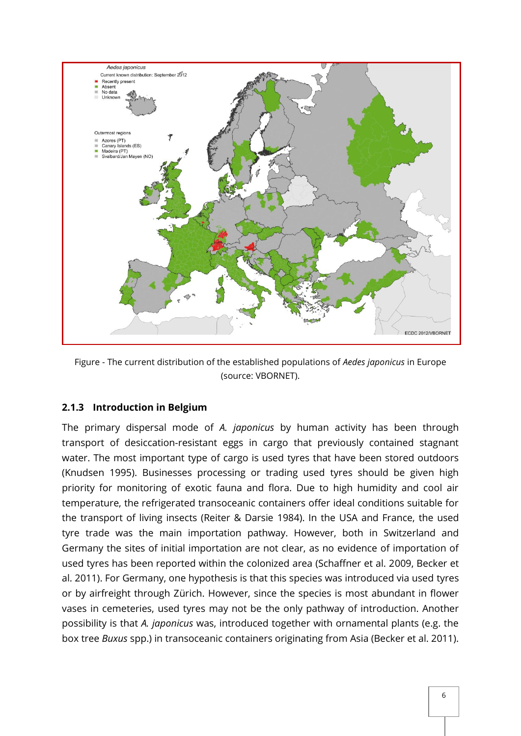

Figure - The current distribution of the established populations of *Aedes japonicus* in Europe (source: VBORNET).

#### <span id="page-5-0"></span>**2.1.3 Introduction in Belgium**

The primary dispersal mode of *A. japonicus* by human activity has been through transport of desiccation-resistant eggs in cargo that previously contained stagnant water. The most important type of cargo is used tyres that have been stored outdoors (Knudsen 1995). Businesses processing or trading used tyres should be given high priority for monitoring of exotic fauna and flora. Due to high humidity and cool air temperature, the refrigerated transoceanic containers offer ideal conditions suitable for the transport of living insects (Reiter & Darsie 1984). In the USA and France, the used tyre trade was the main importation pathway. However, both in Switzerland and Germany the sites of initial importation are not clear, as no evidence of importation of used tyres has been reported within the colonized area (Schaffner et al. 2009, Becker et al. 2011). For Germany, one hypothesis is that this species was introduced via used tyres or by airfreight through Zürich. However, since the species is most abundant in flower vases in cemeteries, used tyres may not be the only pathway of introduction. Another possibility is that *A. japonicus* was, introduced together with ornamental plants (e.g. the box tree *Buxus* spp.) in transoceanic containers originating from Asia (Becker et al. 2011).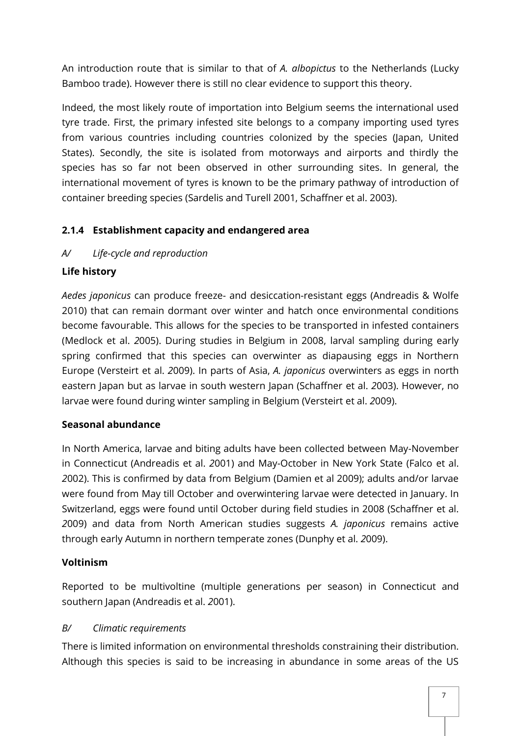An introduction route that is similar to that of *A. albopictus* to the Netherlands (Lucky Bamboo trade). However there is still no clear evidence to support this theory.

Indeed, the most likely route of importation into Belgium seems the international used tyre trade. First, the primary infested site belongs to a company importing used tyres from various countries including countries colonized by the species (Japan, United States). Secondly, the site is isolated from motorways and airports and thirdly the species has so far not been observed in other surrounding sites. In general, the international movement of tyres is known to be the primary pathway of introduction of container breeding species (Sardelis and Turell 2001, Schaffner et al. 2003).

# <span id="page-6-0"></span>**2.1.4 Establishment capacity and endangered area**

# *A/ Life-cycle and reproduction*

## **Life history**

*Aedes japonicus* can produce freeze- and desiccation-resistant eggs (Andreadis & Wolfe 2010) that can remain dormant over winter and hatch once environmental conditions become favourable. This allows for the species to be transported in infested containers (Medlock et al. *2*005). During studies in Belgium in 2008, larval sampling during early spring confirmed that this species can overwinter as diapausing eggs in Northern Europe (Versteirt et al. *2*009). In parts of Asia, *A. japonicus* overwinters as eggs in north eastern Japan but as larvae in south western Japan (Schaffner et al. *2*003). However, no larvae were found during winter sampling in Belgium (Versteirt et al. *2*009).

# **Seasonal abundance**

In North America, larvae and biting adults have been collected between May-November in Connecticut (Andreadis et al. *2*001) and May-October in New York State (Falco et al. *2*002). This is confirmed by data from Belgium (Damien et al 2009); adults and/or larvae were found from May till October and overwintering larvae were detected in January. In Switzerland, eggs were found until October during field studies in 2008 (Schaffner et al. *2*009) and data from North American studies suggests *A. japonicus* remains active through early Autumn in northern temperate zones (Dunphy et al. *2*009).

# **Voltinism**

Reported to be multivoltine (multiple generations per season) in Connecticut and southern Japan (Andreadis et al. *2*001).

#### *B/ Climatic requirements*

There is limited information on environmental thresholds constraining their distribution. Although this species is said to be increasing in abundance in some areas of the US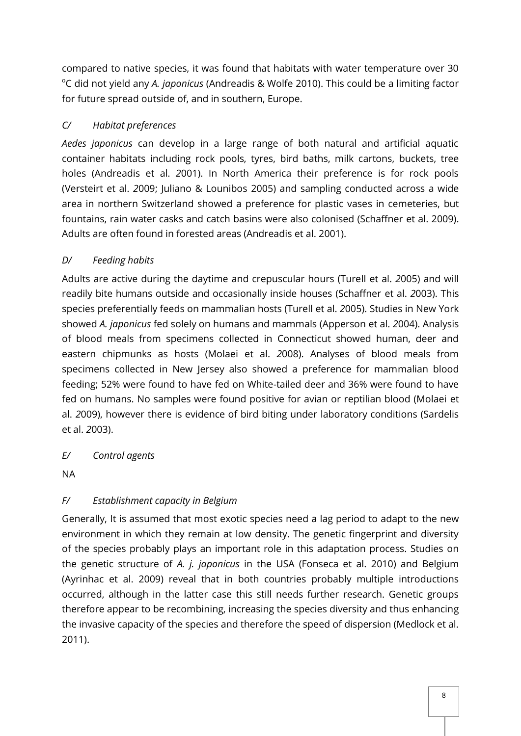compared to native species, it was found that habitats with water temperature over 30 <sup>o</sup>C did not yield any *A. japonicus* (Andreadis & Wolfe 2010). This could be a limiting factor for future spread outside of, and in southern, Europe.

# *C/ Habitat preferences*

*Aedes japonicus* can develop in a large range of both natural and artificial aquatic container habitats including rock pools, tyres, bird baths, milk cartons, buckets, tree holes (Andreadis et al. *2*001). In North America their preference is for rock pools (Versteirt et al. *2*009; Juliano & Lounibos 2005) and sampling conducted across a wide area in northern Switzerland showed a preference for plastic vases in cemeteries, but fountains, rain water casks and catch basins were also colonised (Schaffner et al. 2009). Adults are often found in forested areas (Andreadis et al. 2001).

# *D/ Feeding habits*

Adults are active during the daytime and crepuscular hours (Turell et al. *2*005) and will readily bite humans outside and occasionally inside houses (Schaffner et al. *2*003). This species preferentially feeds on mammalian hosts (Turell et al. *2*005). Studies in New York showed *A. japonicus* fed solely on humans and mammals (Apperson et al. *2*004). Analysis of blood meals from specimens collected in Connecticut showed human, deer and eastern chipmunks as hosts (Molaei et al. *2*008). Analyses of blood meals from specimens collected in New Jersey also showed a preference for mammalian blood feeding; 52% were found to have fed on White-tailed deer and 36% were found to have fed on humans. No samples were found positive for avian or reptilian blood (Molaei et al. *2*009), however there is evidence of bird biting under laboratory conditions (Sardelis et al. *2*003).

# *E/ Control agents*

NA

# *F/ Establishment capacity in Belgium*

Generally, It is assumed that most exotic species need a lag period to adapt to the new environment in which they remain at low density. The genetic fingerprint and diversity of the species probably plays an important role in this adaptation process. Studies on the genetic structure of *A. j. japonicus* in the USA (Fonseca et al. 2010) and Belgium (Ayrinhac et al. 2009) reveal that in both countries probably multiple introductions occurred, although in the latter case this still needs further research. Genetic groups therefore appear to be recombining, increasing the species diversity and thus enhancing the invasive capacity of the species and therefore the speed of dispersion (Medlock et al. 2011).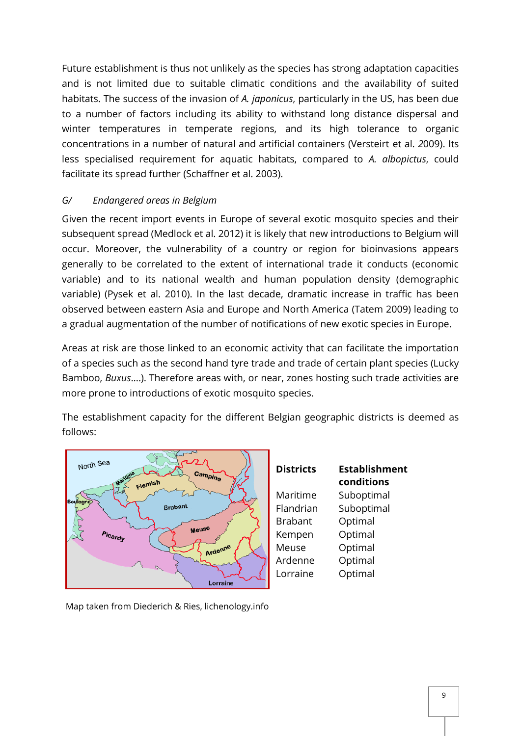Future establishment is thus not unlikely as the species has strong adaptation capacities and is not limited due to suitable climatic conditions and the availability of suited habitats. The success of the invasion of *A. japonicus*, particularly in the US, has been due to a number of factors including its ability to withstand long distance dispersal and winter temperatures in temperate regions, and its high tolerance to organic concentrations in a number of natural and artificial containers (Versteirt et al. *2*009). Its less specialised requirement for aquatic habitats, compared to *A. albopictus*, could facilitate its spread further (Schaffner et al. 2003).

# *G/ Endangered areas in Belgium*

Given the recent import events in Europe of several exotic mosquito species and their subsequent spread (Medlock et al. 2012) it is likely that new introductions to Belgium will occur. Moreover, the vulnerability of a country or region for bioinvasions appears generally to be correlated to the extent of international trade it conducts (economic variable) and to its national wealth and human population density (demographic variable) (Pysek et al. 2010). In the last decade, dramatic increase in traffic has been observed between eastern Asia and Europe and North America (Tatem 2009) leading to a gradual augmentation of the number of notifications of new exotic species in Europe.

Areas at risk are those linked to an economic activity that can facilitate the importation of a species such as the second hand tyre trade and trade of certain plant species (Lucky Bamboo, *Buxus*….). Therefore areas with, or near, zones hosting such trade activities are more prone to introductions of exotic mosquito species.

The establishment capacity for the different Belgian geographic districts is deemed as follows:



| <b>Districts</b> | <b>Establishment</b><br>conditions |
|------------------|------------------------------------|
| Maritime         | Suboptimal                         |
| Flandrian        | Suboptimal                         |
| <b>Brabant</b>   | Optimal                            |
| Kempen           | Optimal                            |
| Meuse            | Optimal                            |
| Ardenne          | Optimal                            |
| Lorraine         | Optimal                            |
|                  |                                    |

Map taken from Diederich & Ries, lichenology.info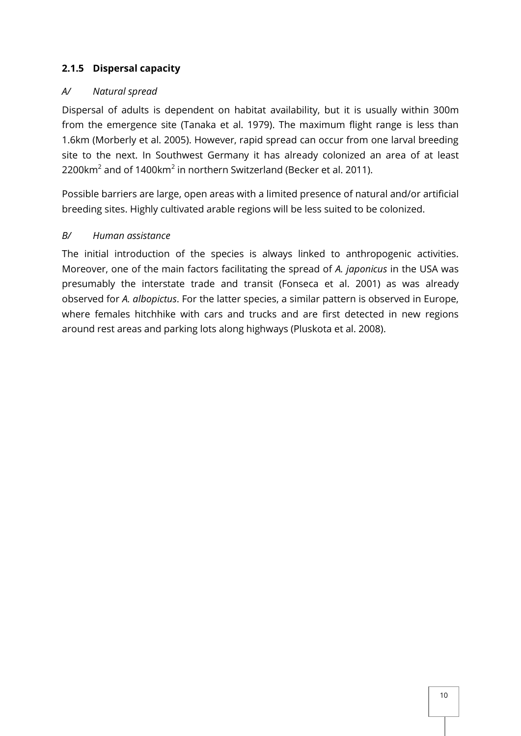# <span id="page-9-0"></span>**2.1.5 Dispersal capacity**

# *A/ Natural spread*

Dispersal of adults is dependent on habitat availability, but it is usually within 300m from the emergence site (Tanaka et al. 1979). The maximum flight range is less than 1.6km (Morberly et al. 2005). However, rapid spread can occur from one larval breeding site to the next. In Southwest Germany it has already colonized an area of at least 2200 $\rm km^2$  and of 1400 $\rm km^2$  in northern Switzerland (Becker et al. 2011).

Possible barriers are large, open areas with a limited presence of natural and/or artificial breeding sites. Highly cultivated arable regions will be less suited to be colonized.

# *B/ Human assistance*

The initial introduction of the species is always linked to anthropogenic activities. Moreover, one of the main factors facilitating the spread of *A. japonicus* in the USA was presumably the interstate trade and transit (Fonseca et al. 2001) as was already observed for *A. albopictus*. For the latter species, a similar pattern is observed in Europe, where females hitchhike with cars and trucks and are first detected in new regions around rest areas and parking lots along highways (Pluskota et al. 2008).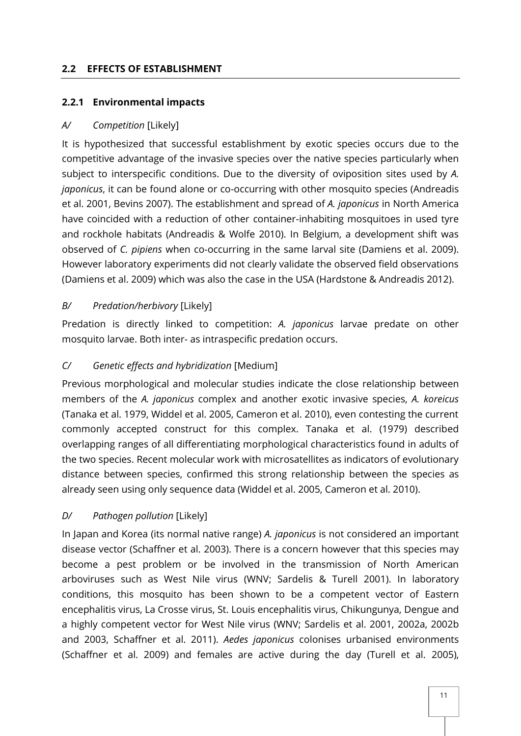#### <span id="page-10-0"></span>**2.2 EFFECTS OF ESTABLISHMENT**

# <span id="page-10-1"></span>**2.2.1 Environmental impacts**

# *A/ Competition* [Likely]

It is hypothesized that successful establishment by exotic species occurs due to the competitive advantage of the invasive species over the native species particularly when subject to interspecific conditions. Due to the diversity of oviposition sites used by *A. japonicus*, it can be found alone or co-occurring with other mosquito species (Andreadis et al. 2001, Bevins 2007). The establishment and spread of *A. japonicus* in North America have coincided with a reduction of other container-inhabiting mosquitoes in used tyre and rockhole habitats (Andreadis & Wolfe 2010). In Belgium, a development shift was observed of *C. pipiens* when co-occurring in the same larval site (Damiens et al. 2009). However laboratory experiments did not clearly validate the observed field observations (Damiens et al. 2009) which was also the case in the USA (Hardstone & Andreadis 2012).

# *B/ Predation/herbivory* [Likely]

Predation is directly linked to competition: *A. japonicus* larvae predate on other mosquito larvae. Both inter- as intraspecific predation occurs.

# *C/ Genetic effects and hybridization* [Medium]

Previous morphological and molecular studies indicate the close relationship between members of the *A. japonicus* complex and another exotic invasive species, *A. koreicus* (Tanaka et al. 1979, Widdel et al. 2005, Cameron et al. 2010), even contesting the current commonly accepted construct for this complex. Tanaka et al. (1979) described overlapping ranges of all differentiating morphological characteristics found in adults of the two species. Recent molecular work with microsatellites as indicators of evolutionary distance between species, confirmed this strong relationship between the species as already seen using only sequence data (Widdel et al. 2005, Cameron et al. 2010).

# *D/ Pathogen pollution* [Likely]

In Japan and Korea (its normal native range) *A. japonicus* is not considered an important disease vector (Schaffner et al. 2003). There is a concern however that this species may become a pest problem or be involved in the transmission of North American arboviruses such as West Nile virus (WNV; Sardelis & Turell 2001). In laboratory conditions, this mosquito has been shown to be a competent vector of Eastern encephalitis virus, La Crosse virus, St. Louis encephalitis virus, Chikungunya, Dengue and a highly competent vector for West Nile virus (WNV; Sardelis et al. 2001, 2002a, 2002b and 2003, Schaffner et al. 2011). *Aedes japonicus* colonises urbanised environments (Schaffner et al. 2009) and females are active during the day (Turell et al. 2005),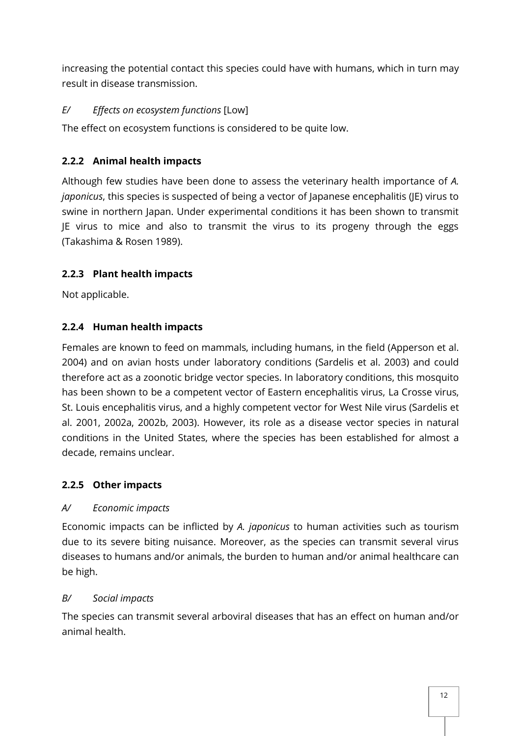increasing the potential contact this species could have with humans, which in turn may result in disease transmission.

# *E/ Effects on ecosystem functions* [Low]

The effect on ecosystem functions is considered to be quite low.

# <span id="page-11-0"></span>**2.2.2 Animal health impacts**

Although few studies have been done to assess the veterinary health importance of *A. japonicus*, this species is suspected of being a vector of Japanese encephalitis (JE) virus to swine in northern Japan. Under experimental conditions it has been shown to transmit JE virus to mice and also to transmit the virus to its progeny through the eggs (Takashima & Rosen 1989).

# <span id="page-11-1"></span>**2.2.3 Plant health impacts**

Not applicable.

# <span id="page-11-2"></span>**2.2.4 Human health impacts**

Females are known to feed on mammals, including humans, in the field (Apperson et al. 2004) and on avian hosts under laboratory conditions (Sardelis et al. 2003) and could therefore act as a zoonotic bridge vector species. In laboratory conditions, this mosquito has been shown to be a competent vector of Eastern encephalitis virus, La Crosse virus, St. Louis encephalitis virus, and a highly competent vector for West Nile virus (Sardelis et al. 2001, 2002a, 2002b, 2003). However, its role as a disease vector species in natural conditions in the United States, where the species has been established for almost a decade, remains unclear.

# <span id="page-11-3"></span>**2.2.5 Other impacts**

# *A/ Economic impacts*

Economic impacts can be inflicted by *A. japonicus* to human activities such as tourism due to its severe biting nuisance. Moreover, as the species can transmit several virus diseases to humans and/or animals, the burden to human and/or animal healthcare can be high.

# *B/ Social impacts*

The species can transmit several arboviral diseases that has an effect on human and/or animal health.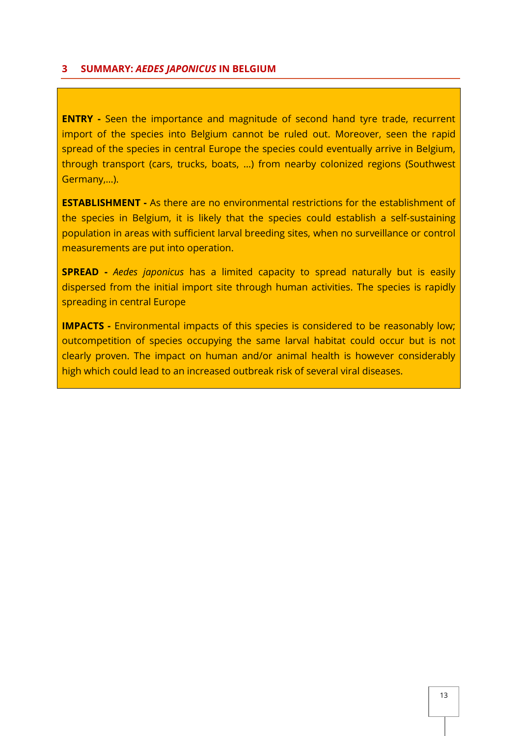#### <span id="page-12-0"></span>**3 SUMMARY:** *AEDES JAPONICUS* **IN BELGIUM**

**ENTRY** - Seen the importance and magnitude of second hand tyre trade, recurrent import of the species into Belgium cannot be ruled out. Moreover, seen the rapid spread of the species in central Europe the species could eventually arrive in Belgium, through transport (cars, trucks, boats, …) from nearby colonized regions (Southwest Germany,…).

**ESTABLISHMENT -** As there are no environmental restrictions for the establishment of the species in Belgium, it is likely that the species could establish a self-sustaining population in areas with sufficient larval breeding sites, when no surveillance or control measurements are put into operation.

**SPREAD -** *Aedes japonicus* has a limited capacity to spread naturally but is easily dispersed from the initial import site through human activities. The species is rapidly spreading in central Europe

**IMPACTS -** Environmental impacts of this species is considered to be reasonably low; outcompetition of species occupying the same larval habitat could occur but is not clearly proven. The impact on human and/or animal health is however considerably high which could lead to an increased outbreak risk of several viral diseases.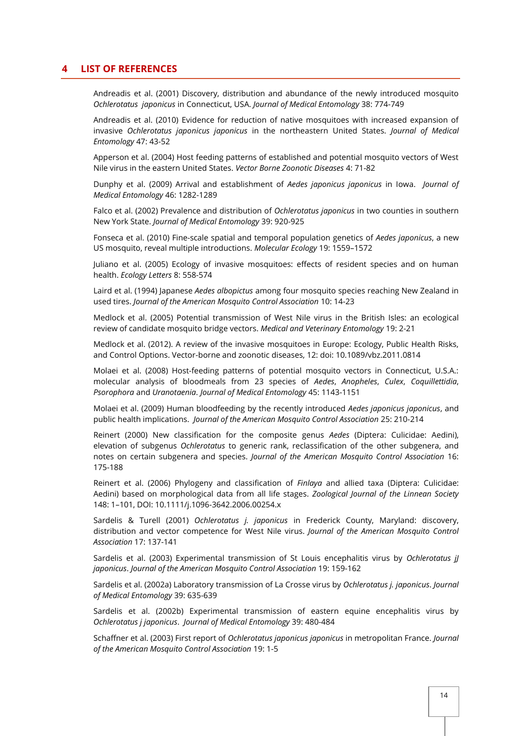#### <span id="page-13-0"></span>**4 LIST OF REFERENCES**

Andreadis et al. (2001) Discovery, distribution and abundance of the newly introduced mosquito *Ochlerotatus japonicus* in Connecticut, USA. *Journal of Medical Entomology* 38: 774-749

Andreadis et al. (2010) Evidence for reduction of native mosquitoes with increased expansion of invasive *Ochlerotatus japonicus japonicus* in the northeastern United States. *Journal of Medical Entomology* 47: 43-52

Apperson et al. (2004) Host feeding patterns of established and potential mosquito vectors of West Nile virus in the eastern United States. *Vector Borne Zoonotic Diseases* 4: 71-82

Dunphy et al. (2009) Arrival and establishment of *Aedes japonicus japonicus* in Iowa. *Journal of Medical Entomology* 46: 1282-1289

Falco et al. (2002) Prevalence and distribution of *Ochlerotatus japonicus* in two counties in southern New York State. *Journal of Medical Entomology* 39: 920-925

Fonseca et al. (2010) Fine-scale spatial and temporal population genetics of *Aedes japonicus*, a new US mosquito, reveal multiple introductions. *Molecular Ecology* 19: 1559–1572

Juliano et al. (2005) Ecology of invasive mosquitoes: effects of resident species and on human health. *Ecology Letters* 8: 558-574

Laird et al. (1994) Japanese *Aedes albopictus* among four mosquito species reaching New Zealand in used tires. *Journal of the American Mosquito Control Association* 10: 14-23

Medlock et al. (2005) Potential transmission of West Nile virus in the British Isles: an ecological review of candidate mosquito bridge vectors. *Medical and Veterinary Entomology* 19: 2-21

Medlock et al. (2012). A review of the invasive mosquitoes in Europe: Ecology, Public Health Risks, and Control Options. Vector-borne and zoonotic diseases, 12: doi: 10.1089/vbz.2011.0814

Molaei et al. (2008) Host-feeding patterns of potential mosquito vectors in Connecticut, U.S.A.: molecular analysis of bloodmeals from 23 species of *Aedes*, *Anopheles*, *Culex*, *Coquillettidia*, *Psorophora* and *Uranotaenia*. *Journal of Medical Entomology* 45: 1143-1151

Molaei et al. (2009) Human bloodfeeding by the recently introduced *Aedes japonicus japonicus*, and public health implications. *Journal of the American Mosquito Control Association* 25: 210-214

Reinert (2000) New classification for the composite genus *Aedes* (Diptera: Culicidae: Aedini), elevation of subgenus *Ochlerotatus* to generic rank, reclassification of the other subgenera, and notes on certain subgenera and species. *Journal of the American Mosquito Control Association* 16: 175-188

Reinert et al. (2006) Phylogeny and classification of *Finlaya* and allied taxa (Diptera: Culicidae: Aedini) based on morphological data from all life stages. *Zoological Journal of the Linnean Society* 148: 1–101, DOI: 10.1111/j.1096-3642.2006.00254.x

Sardelis & Turell (2001) *Ochlerotatus j. japonicus* in Frederick County, Maryland: discovery, distribution and vector competence for West Nile virus. *Journal of the American Mosquito Control Association* 17: 137-141

Sardelis et al. (2003) Experimental transmission of St Louis encephalitis virus by *Ochlerotatus jJ japonicus*. *Journal of the American Mosquito Control Association* 19: 159-162

Sardelis et al. (2002a) Laboratory transmission of La Crosse virus by *Ochlerotatus j. japonicus*. *Journal of Medical Entomology* 39: 635-639

Sardelis et al. (2002b) Experimental transmission of eastern equine encephalitis virus by *Ochlerotatus j japonicus*. *Journal of Medical Entomology* 39: 480-484

Schaffner et al. (2003) First report of *Ochlerotatus japonicus japonicus* in metropolitan France. *Journal of the American Mosquito Control Association* 19: 1-5